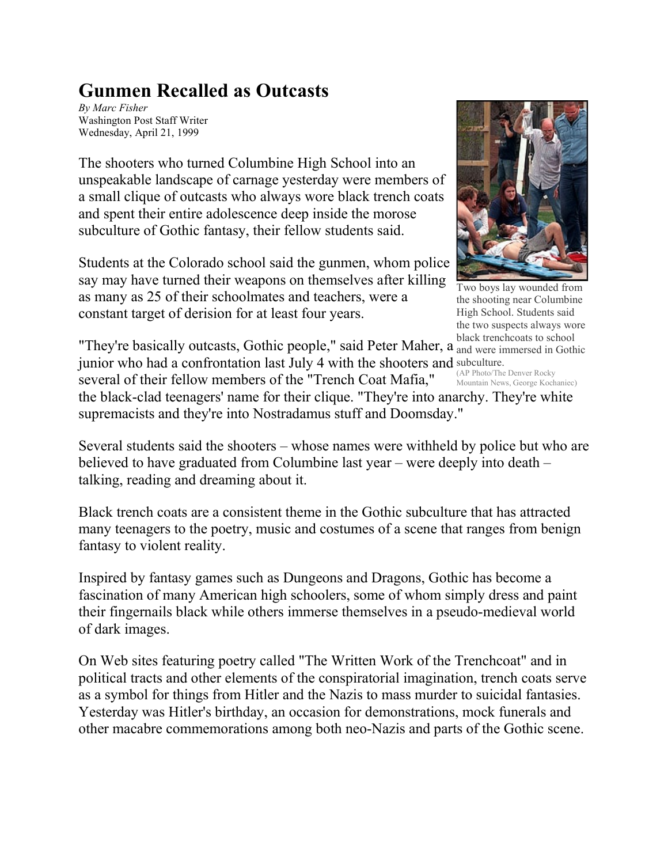## **Gunmen Recalled as Outcasts**

*By Marc Fisher* Washington Post Staff Writer Wednesday, April 21, 1999

The shooters who turned Columbine High School into an unspeakable landscape of carnage yesterday were members of a small clique of outcasts who always wore black trench coats and spent their entire adolescence deep inside the morose subculture of Gothic fantasy, their fellow students said.

Students at the Colorado school said the gunmen, whom police say may have turned their weapons on themselves after killing as many as 25 of their schoolmates and teachers, were a constant target of derision for at least four years.



Two boys lay wounded from the shooting near Columbine High School. Students said the two suspects always wore black trenchcoats to school

"They're basically outcasts, Gothic people," said Peter Maher, a and were immersed in Gothic junior who had a confrontation last July 4 with the shooters and subculture. several of their fellow members of the "Trench Coat Mafia," (AP Photo/The Denver Rocky Mountain News, George Kochaniec)

the black-clad teenagers' name for their clique. "They're into anarchy. They're white supremacists and they're into Nostradamus stuff and Doomsday."

Several students said the shooters – whose names were withheld by police but who are believed to have graduated from Columbine last year – were deeply into death – talking, reading and dreaming about it.

Black trench coats are a consistent theme in the Gothic subculture that has attracted many teenagers to the poetry, music and costumes of a scene that ranges from benign fantasy to violent reality.

Inspired by fantasy games such as Dungeons and Dragons, Gothic has become a fascination of many American high schoolers, some of whom simply dress and paint their fingernails black while others immerse themselves in a pseudo-medieval world of dark images.

On Web sites featuring poetry called "The Written Work of the Trenchcoat" and in political tracts and other elements of the conspiratorial imagination, trench coats serve as a symbol for things from Hitler and the Nazis to mass murder to suicidal fantasies. Yesterday was Hitler's birthday, an occasion for demonstrations, mock funerals and other macabre commemorations among both neo-Nazis and parts of the Gothic scene.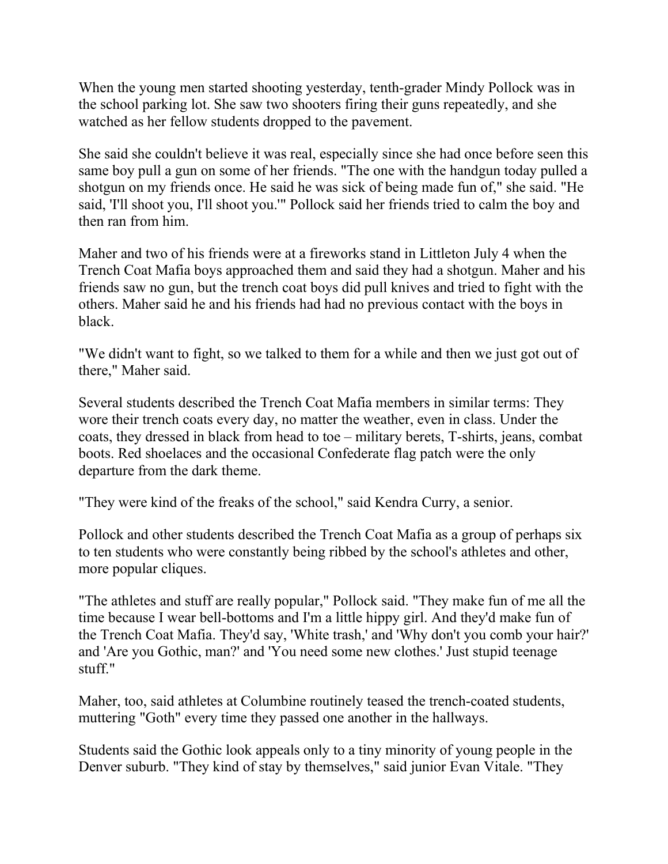When the young men started shooting yesterday, tenth-grader Mindy Pollock was in the school parking lot. She saw two shooters firing their guns repeatedly, and she watched as her fellow students dropped to the pavement.

She said she couldn't believe it was real, especially since she had once before seen this same boy pull a gun on some of her friends. "The one with the handgun today pulled a shotgun on my friends once. He said he was sick of being made fun of," she said. "He said, 'I'll shoot you, I'll shoot you.'" Pollock said her friends tried to calm the boy and then ran from him.

Maher and two of his friends were at a fireworks stand in Littleton July 4 when the Trench Coat Mafia boys approached them and said they had a shotgun. Maher and his friends saw no gun, but the trench coat boys did pull knives and tried to fight with the others. Maher said he and his friends had had no previous contact with the boys in black.

"We didn't want to fight, so we talked to them for a while and then we just got out of there," Maher said.

Several students described the Trench Coat Mafia members in similar terms: They wore their trench coats every day, no matter the weather, even in class. Under the coats, they dressed in black from head to toe – military berets, T-shirts, jeans, combat boots. Red shoelaces and the occasional Confederate flag patch were the only departure from the dark theme.

"They were kind of the freaks of the school," said Kendra Curry, a senior.

Pollock and other students described the Trench Coat Mafia as a group of perhaps six to ten students who were constantly being ribbed by the school's athletes and other, more popular cliques.

"The athletes and stuff are really popular," Pollock said. "They make fun of me all the time because I wear bell-bottoms and I'm a little hippy girl. And they'd make fun of the Trench Coat Mafia. They'd say, 'White trash,' and 'Why don't you comb your hair?' and 'Are you Gothic, man?' and 'You need some new clothes.' Just stupid teenage stuff."

Maher, too, said athletes at Columbine routinely teased the trench-coated students, muttering "Goth" every time they passed one another in the hallways.

Students said the Gothic look appeals only to a tiny minority of young people in the Denver suburb. "They kind of stay by themselves," said junior Evan Vitale. "They